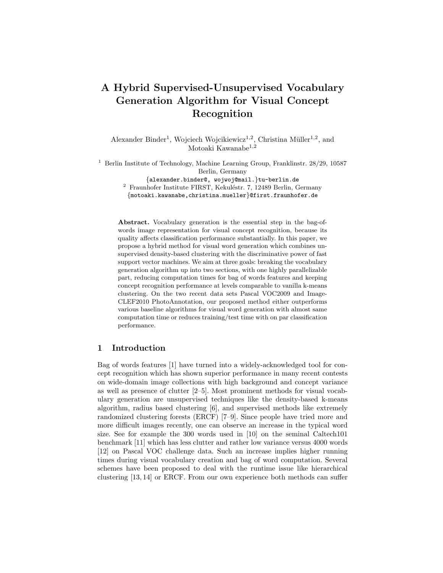# A Hybrid Supervised-Unsupervised Vocabulary Generation Algorithm for Visual Concept Recognition

Alexander Binder<sup>1</sup>, Wojciech Wojcikiewicz<sup>1,2</sup>, Christina Müller<sup>1,2</sup>, and Motoaki Kawanabe<sup>1,2</sup>

 $^{\rm 1}$  Berlin Institute of Technology, Machine Learning Group, Franklinstr. 28/29, 10587 Berlin, Germany

{alexander.binder@, wojwoj@mail.}tu-berlin.de  $2$  Fraunhofer Institute FIRST, Kekuléstr. 7, 12489 Berlin, Germany

{motoaki.kawanabe,christina.mueller}@first.fraunhofer.de

Abstract. Vocabulary generation is the essential step in the bag-ofwords image representation for visual concept recognition, because its quality affects classification performance substantially. In this paper, we propose a hybrid method for visual word generation which combines unsupervised density-based clustering with the discriminative power of fast support vector machines. We aim at three goals: breaking the vocabulary generation algorithm up into two sections, with one highly parallelizable part, reducing computation times for bag of words features and keeping concept recognition performance at levels comparable to vanilla k-means clustering. On the two recent data sets Pascal VOC2009 and Image-CLEF2010 PhotoAnnotation, our proposed method either outperforms various baseline algorithms for visual word generation with almost same computation time or reduces training/test time with on par classification performance.

# 1 Introduction

Bag of words features [1] have turned into a widely-acknowledged tool for concept recognition which has shown superior performance in many recent contests on wide-domain image collections with high background and concept variance as well as presence of clutter [2–5]. Most prominent methods for visual vocabulary generation are unsupervised techniques like the density-based k-means algorithm, radius based clustering [6], and supervised methods like extremely randomized clustering forests (ERCF) [7–9]. Since people have tried more and more difficult images recently, one can observe an increase in the typical word size. See for example the 300 words used in [10] on the seminal Caltech101 benchmark [11] which has less clutter and rather low variance versus 4000 words [12] on Pascal VOC challenge data. Such an increase implies higher running times during visual vocabulary creation and bag of word computation. Several schemes have been proposed to deal with the runtime issue like hierarchical clustering [13, 14] or ERCF. From our own experience both methods can suffer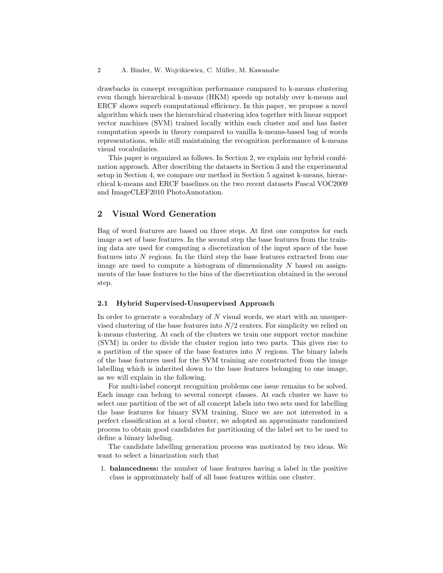drawbacks in concept recognition performance compared to k-means clustering even though hierarchical k-means (HKM) speeds up notably over k-means and ERCF shows superb computational efficiency. In this paper, we propose a novel algorithm which uses the hierarchical clustering idea together with linear support vector machines (SVM) trained locally within each cluster and and has faster computation speeds in theory compared to vanilla k-means-based bag of words representations, while still maintaining the recognition performance of k-means visual vocabularies.

This paper is organized as follows. In Section 2, we explain our hybrid combination approach. After describing the datasets in Section 3 and the experimental setup in Section 4, we compare our method in Section 5 against k-means, hierarchical k-means and ERCF baselines on the two recent datasets Pascal VOC2009 and ImageCLEF2010 PhotoAnnotation.

# 2 Visual Word Generation

Bag of word features are based on three steps. At first one computes for each image a set of base features. In the second step the base features from the training data are used for computing a discretization of the input space of the base features into N regions. In the third step the base features extracted from one image are used to compute a histogram of dimensionality  $N$  based on assignments of the base features to the bins of the discretization obtained in the second step.

#### 2.1 Hybrid Supervised-Unsupervised Approach

In order to generate a vocabulary of  $N$  visual words, we start with an unsupervised clustering of the base features into  $N/2$  centers. For simplicity we relied on k-means clustering. At each of the clusters we train one support vector machine (SVM) in order to divide the cluster region into two parts. This gives rise to a partition of the space of the base features into  $N$  regions. The binary labels of the base features used for the SVM training are constructed from the image labelling which is inherited down to the base features belonging to one image, as we will explain in the following.

For multi-label concept recognition problems one issue remains to be solved. Each image can belong to several concept classes. At each cluster we have to select one partition of the set of all concept labels into two sets used for labelling the base features for binary SVM training. Since we are not interested in a perfect classification at a local cluster, we adopted an approximate randomized process to obtain good candidates for partitioning of the label set to be used to define a binary labeling.

The candidate labelling generation process was motivated by two ideas. We want to select a binarization such that

1. balancedness: the number of base features having a label in the positive class is approximately half of all base features within one cluster.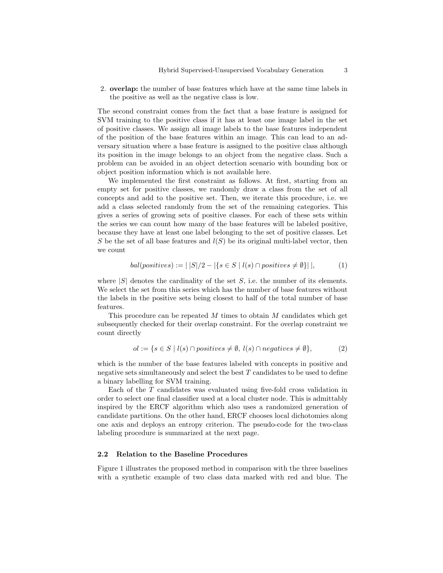2. overlap: the number of base features which have at the same time labels in the positive as well as the negative class is low.

The second constraint comes from the fact that a base feature is assigned for SVM training to the positive class if it has at least one image label in the set of positive classes. We assign all image labels to the base features independent of the position of the base features within an image. This can lead to an adversary situation where a base feature is assigned to the positive class although its position in the image belongs to an object from the negative class. Such a problem can be avoided in an object detection scenario with bounding box or object position information which is not available here.

We implemented the first constraint as follows. At first, starting from an empty set for positive classes, we randomly draw a class from the set of all concepts and add to the positive set. Then, we iterate this procedure, i.e. we add a class selected randomly from the set of the remaining categories. This gives a series of growing sets of positive classes. For each of these sets within the series we can count how many of the base features will be labeled positive, because they have at least one label belonging to the set of positive classes. Let S be the set of all base features and  $l(S)$  be its original multi-label vector, then we count

$$
bal(positives) := |S|/2 - |\{s \in S \mid l(s) \cap positives \neq \emptyset\}||, \tag{1}
$$

where  $|S|$  denotes the cardinality of the set S, i.e. the number of its elements. We select the set from this series which has the number of base features without the labels in the positive sets being closest to half of the total number of base features.

This procedure can be repeated  $M$  times to obtain  $M$  candidates which get subsequently checked for their overlap constraint. For the overlap constraint we count directly

$$
ol := \{ s \in S \mid l(s) \cap positives \neq \emptyset, l(s) \cap negatives \neq \emptyset \},
$$
 (2)

which is the number of the base features labeled with concepts in positive and negative sets simultaneously and select the best T candidates to be used to define a binary labelling for SVM training.

Each of the T candidates was evaluated using five-fold cross validation in order to select one final classifier used at a local cluster node. This is admittably inspired by the ERCF algorithm which also uses a randomized generation of candidate partitions. On the other hand, ERCF chooses local dichotomies along one axis and deploys an entropy criterion. The pseudo-code for the two-class labeling procedure is summarized at the next page.

#### 2.2 Relation to the Baseline Procedures

Figure 1 illustrates the proposed method in comparison with the three baselines with a synthetic example of two class data marked with red and blue. The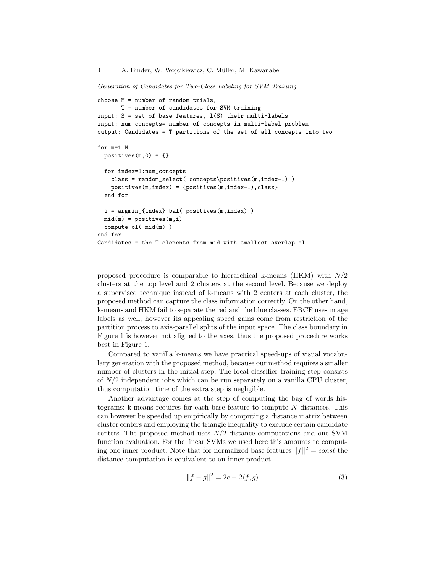Generation of Candidates for Two-Class Labeling for SVM Training

```
choose M = number of random trials,
      T = number of candidates for SVM training
input: S = set of base features, l(S) their multi-labels
input: num_concepts= number of concepts in multi-label problem
output: Candidates = T partitions of the set of all concepts into two
for m=1:M
 positives(m,0) = \{\}for index=1:num_concepts
    class = random_select( concepts\positives(m,index-1) )
    positives(m,index) = {positives(m,index-1),class}
 end for
 i = argmin_{index} bal( positives(m,index) )
 mid(m) = positives(m,i)compute ol( mid(m) )
end for
Candidates = the T elements from mid with smallest overlap ol
```
proposed procedure is comparable to hierarchical k-means (HKM) with  $N/2$ clusters at the top level and 2 clusters at the second level. Because we deploy a supervised technique instead of k-means with 2 centers at each cluster, the proposed method can capture the class information correctly. On the other hand, k-means and HKM fail to separate the red and the blue classes. ERCF uses image labels as well, however its appealing speed gains come from restriction of the partition process to axis-parallel splits of the input space. The class boundary in Figure 1 is however not aligned to the axes, thus the proposed procedure works best in Figure 1.

Compared to vanilla k-means we have practical speed-ups of visual vocabulary generation with the proposed method, because our method requires a smaller number of clusters in the initial step. The local classifier training step consists of  $N/2$  independent jobs which can be run separately on a vanilla CPU cluster, thus computation time of the extra step is negligible.

Another advantage comes at the step of computing the bag of words histograms: k-means requires for each base feature to compute  $N$  distances. This can however be speeded up empirically by computing a distance matrix between cluster centers and employing the triangle inequality to exclude certain candidate centers. The proposed method uses  $N/2$  distance computations and one SVM function evaluation. For the linear SVMs we used here this amounts to computing one inner product. Note that for normalized base features  $||f||^2 = const$  the distance computation is equivalent to an inner product

$$
||f - g||^2 = 2c - 2\langle f, g \rangle \tag{3}
$$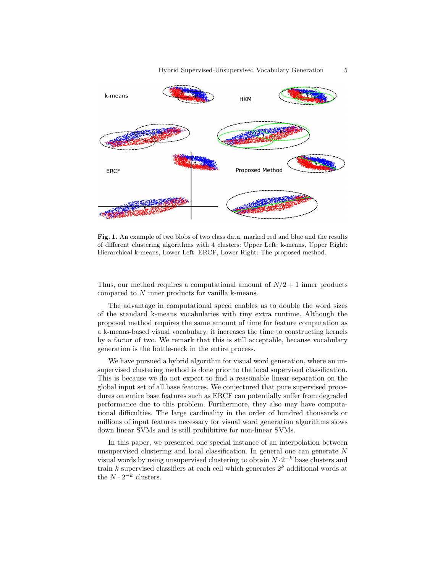

Fig. 1. An example of two blobs of two class data, marked red and blue and the results of different clustering algorithms with 4 clusters: Upper Left: k-means, Upper Right: Hierarchical k-means, Lower Left: ERCF, Lower Right: The proposed method.

Thus, our method requires a computational amount of  $N/2 + 1$  inner products compared to N inner products for vanilla k-means.

The advantage in computational speed enables us to double the word sizes of the standard k-means vocabularies with tiny extra runtime. Although the proposed method requires the same amount of time for feature computation as a k-means-based visual vocabulary, it increases the time to constructing kernels by a factor of two. We remark that this is still acceptable, because vocabulary generation is the bottle-neck in the entire process.

We have pursued a hybrid algorithm for visual word generation, where an unsupervised clustering method is done prior to the local supervised classification. This is because we do not expect to find a reasonable linear separation on the global input set of all base features. We conjectured that pure supervised procedures on entire base features such as ERCF can potentially suffer from degraded performance due to this problem. Furthermore, they also may have computational difficulties. The large cardinality in the order of hundred thousands or millions of input features necessary for visual word generation algorithms slows down linear SVMs and is still prohibitive for non-linear SVMs.

In this paper, we presented one special instance of an interpolation between unsupervised clustering and local classification. In general one can generate N visual words by using unsupervised clustering to obtain  $N \cdot 2^{-k}$  base clusters and train k supervised classifiers at each cell which generates  $2^k$  additional words at the  $N \cdot 2^{-k}$  clusters.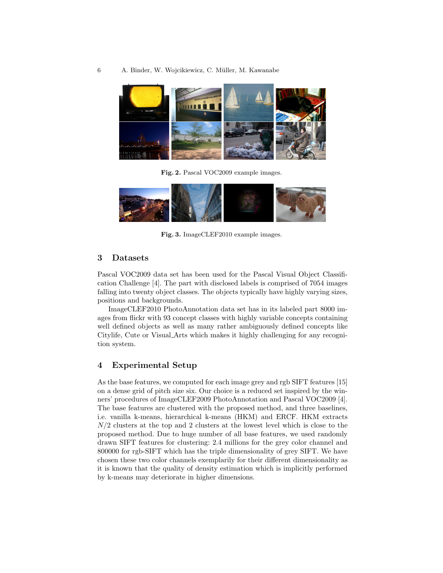#### 6 A. Binder, W. Wojcikiewicz, C. M¨uller, M. Kawanabe



Fig. 2. Pascal VOC2009 example images.



Fig. 3. ImageCLEF2010 example images.

### 3 Datasets

Pascal VOC2009 data set has been used for the Pascal Visual Object Classification Challenge [4]. The part with disclosed labels is comprised of 7054 images falling into twenty object classes. The objects typically have highly varying sizes, positions and backgrounds.

ImageCLEF2010 PhotoAnnotation data set has in its labeled part 8000 images from flickr with 93 concept classes with highly variable concepts containing well defined objects as well as many rather ambiguously defined concepts like Citylife, Cute or Visual Arts which makes it highly challenging for any recognition system.

# 4 Experimental Setup

As the base features, we computed for each image grey and rgb SIFT features [15] on a dense grid of pitch size six. Our choice is a reduced set inspired by the winners' procedures of ImageCLEF2009 PhotoAnnotation and Pascal VOC2009 [4]. The base features are clustered with the proposed method, and three baselines, i.e. vanilla k-means, hierarchical k-means (HKM) and ERCF. HKM extracts  $N/2$  clusters at the top and 2 clusters at the lowest level which is close to the proposed method. Due to huge number of all base features, we used randomly drawn SIFT features for clustering: 2.4 millions for the grey color channel and 800000 for rgb-SIFT which has the triple dimensionality of grey SIFT. We have chosen these two color channels exemplarily for their different dimensionality as it is known that the quality of density estimation which is implicitly performed by k-means may deteriorate in higher dimensions.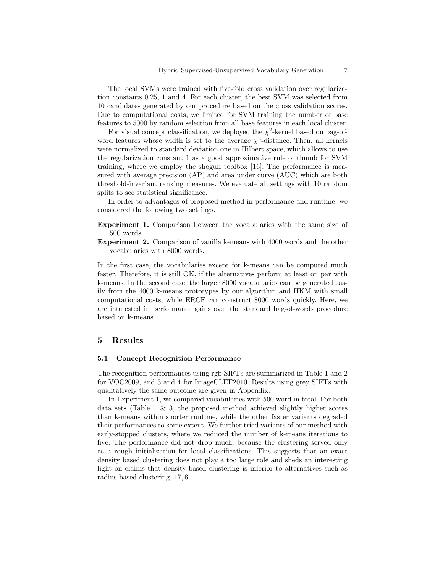The local SVMs were trained with five-fold cross validation over regularization constants 0.25, 1 and 4. For each cluster, the best SVM was selected from 10 candidates generated by our procedure based on the cross validation scores. Due to computational costs, we limited for SVM training the number of base features to 5000 by random selection from all base features in each local cluster.

For visual concept classification, we deployed the  $\chi^2$ -kernel based on bag-ofword features whose width is set to the average  $\chi^2$ -distance. Then, all kernels were normalized to standard deviation one in Hilbert space, which allows to use the regularization constant 1 as a good approximative rule of thumb for SVM training, where we employ the shogun toolbox [16]. The performance is measured with average precision (AP) and area under curve (AUC) which are both threshold-invariant ranking measures. We evaluate all settings with 10 random splits to see statistical significance.

In order to advantages of proposed method in performance and runtime, we considered the following two settings.

- Experiment 1. Comparison between the vocabularies with the same size of 500 words.
- Experiment 2. Comparison of vanilla k-means with 4000 words and the other vocabularies with 8000 words.

In the first case, the vocabularies except for k-means can be computed much faster. Therefore, it is still OK, if the alternatives perform at least on par with k-means. In the second case, the larger 8000 vocabularies can be generated easily from the 4000 k-means prototypes by our algorithm and HKM with small computational costs, while ERCF can construct 8000 words quickly. Here, we are interested in performance gains over the standard bag-of-words procedure based on k-means.

# 5 Results

#### 5.1 Concept Recognition Performance

The recognition performances using rgb SIFTs are summarized in Table 1 and 2 for VOC2009, and 3 and 4 for ImageCLEF2010. Results using grey SIFTs with qualitatively the same outcome are given in Appendix.

In Experiment 1, we compared vocabularies with 500 word in total. For both data sets (Table 1  $\&$  3, the proposed method achieved slightly higher scores than k-means within shorter runtime, while the other faster variants degraded their performances to some extent. We further tried variants of our method with early-stopped clusters, where we reduced the number of k-means iterations to five. The performance did not drop much, because the clustering served only as a rough initialization for local classifications. This suggests that an exact density based clustering does not play a too large role and sheds an interesting light on claims that density-based clustering is inferior to alternatives such as radius-based clustering [17, 6].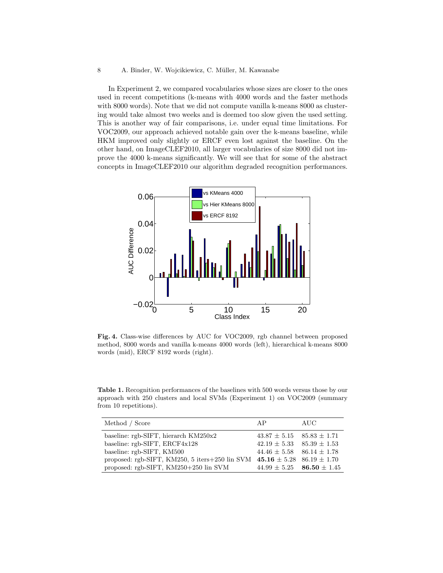#### 8 A. Binder, W. Wojcikiewicz, C. Müller, M. Kawanabe

In Experiment 2, we compared vocabularies whose sizes are closer to the ones used in recent competitions (k-means with 4000 words and the faster methods with 8000 words). Note that we did not compute vanilla k-means 8000 as clustering would take almost two weeks and is deemed too slow given the used setting. This is another way of fair comparisons, i.e. under equal time limitations. For VOC2009, our approach achieved notable gain over the k-means baseline, while HKM improved only slightly or ERCF even lost against the baseline. On the other hand, on ImageCLEF2010, all larger vocabularies of size 8000 did not improve the 4000 k-means significantly. We will see that for some of the abstract concepts in ImageCLEF2010 our algorithm degraded recognition performances.



Fig. 4. Class-wise differences by AUC for VOC2009, rgb channel between proposed method, 8000 words and vanilla k-means 4000 words (left), hierarchical k-means 8000 words (mid), ERCF 8192 words (right).

Table 1. Recognition performances of the baselines with 500 words versus those by our approach with 250 clusters and local SVMs (Experiment 1) on VOC2009 (summary from 10 repetitions).

| Method / Score                                                                               | AP                                | AUC |
|----------------------------------------------------------------------------------------------|-----------------------------------|-----|
| baseline: rgb-SIFT, hierarch KM250x2                                                         | $43.87 \pm 5.15$ $85.83 \pm 1.71$ |     |
| baseline: rgb-SIFT, ERCF4x128                                                                | $42.19 \pm 5.33$ $85.39 \pm 1.53$ |     |
| baseline: rgb-SIFT, KM500                                                                    | $44.46 \pm 5.58$ $86.14 \pm 1.78$ |     |
| proposed: rgb-SIFT, KM250, 5 iters + 250 lin SVM $\,$ 45.16 $\pm$ 5.28 $\,$ 86.19 $\pm$ 1.70 |                                   |     |
| proposed: rgb-SIFT, KM250+250 lin SVM                                                        | $44.99 \pm 5.25$ 86.50 $\pm 1.45$ |     |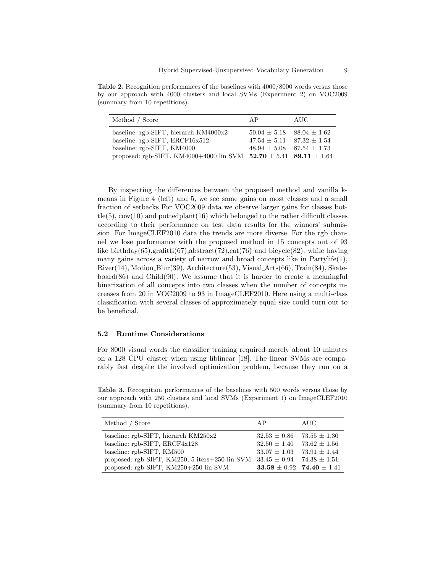Table 2. Recognition performances of the baselines with 4000/8000 words versus those by our approach with 4000 clusters and local SVMs (Experiment 2) on VOC2009 (summary from 10 repetitions).

| Method / Score                                                                    | AP                                                                     | AUC |
|-----------------------------------------------------------------------------------|------------------------------------------------------------------------|-----|
| baseline: $rgb-SIFT$ , hierarch $KM4000x2$<br>baseline: $rgb-SIFT$ , $ERCF16x512$ | $50.04 \pm 5.18$ $88.04 \pm 1.62$<br>$47.54 \pm 5.11$ $87.32 \pm 1.54$ |     |
| baseline: rgb-SIFT, KM4000                                                        | $48.94 + 5.08$ $87.54 + 1.73$                                          |     |
| proposed: rgb-SIFT, KM4000+4000 lin SVM $52.70 \pm 5.41$ 89.11 $\pm 1.64$         |                                                                        |     |

By inspecting the differences between the proposed method and vanilla kmeans in Figure 4 (left) and 5, we see some gains on most classes and a small fraction of setbacks For VOC2009 data we observe larger gains for classes bottle(5),  $cov(10)$  and pottedplant(16) which belonged to the rather difficult classes according to their performance on test data results for the winners' submission. For ImageCLEF2010 data the trends are more diverse. For the rgb channel we lose performance with the proposed method in 15 concepts out of 93 like birthday(65),grafitti(67),abstract(72),cat(76) and bicycle(82), while having many gains across a variety of narrow and broad concepts like in Partylife(1),  $River(14)$ , Motion Blur(39), Architecture(53), Visual Arts(66), Train(84), Skateboard(86) and Child(90). We assume that it is harder to create a meaningful binarization of all concepts into two classes when the number of concepts increases from 20 in VOC2009 to 93 in ImageCLEF2010. Here using a multi-class classification with several classes of approximately equal size could turn out to be beneficial.

#### 5.2 Runtime Considerations

For 8000 visual words the classifier training required merely about 10 minutes on a 128 CPU cluster when using liblinear [18]. The linear SVMs are comparably fast despite the involved optimization problem, because they run on a

Table 3. Recognition performances of the baselines with 500 words versus those by our approach with 250 clusters and local SVMs (Experiment 1) on ImageCLEF2010 (summary from 10 repetitions).

| Method / Score                                 | AP                                | AUC              |
|------------------------------------------------|-----------------------------------|------------------|
| baseline: rgb-SIFT, hierarch KM250x2           | $32.53 \pm 0.86$                  | $73.55 \pm 1.30$ |
| baseline: rgb-SIFT, ERCF4x128                  | $32.50 \pm 1.40$                  | $73.62 \pm 1.56$ |
| baseline: rgb-SIFT, KM500                      | $33.07 \pm 1.03$ $73.91 \pm 1.44$ |                  |
| proposed: rgb-SIFT, KM250, 5 iters+250 lin SVM | $33.45 + 0.94$                    | $74.38 + 1.51$   |
| proposed: rgb-SIFT, KM250+250 lin SVM          | 33.58 $\pm$ 0.92 74.40 $\pm$ 1.41 |                  |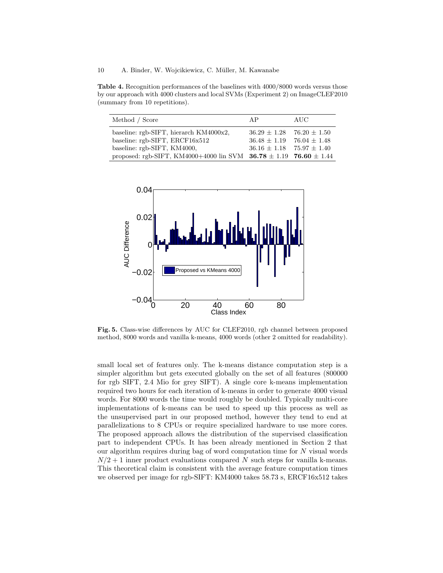Table 4. Recognition performances of the baselines with 4000/8000 words versus those by our approach with 4000 clusters and local SVMs (Experiment 2) on ImageCLEF2010 (summary from 10 repetitions).

| Method / Score                                                            | AP                                                                     | AUC |
|---------------------------------------------------------------------------|------------------------------------------------------------------------|-----|
| baseline: rgb-SIFT, hierarch KM4000x2,                                    | $36.29 \pm 1.28$ 76.20 $\pm 1.50$                                      |     |
| baseline: rgb-SIFT, ERCF16x512<br>baseline: rgb-SIFT, KM4000,             | $36.48 \pm 1.19$ 76.04 $\pm$ 1.48<br>$36.16 \pm 1.18$ $75.97 \pm 1.40$ |     |
| proposed: rgb-SIFT, KM4000+4000 lin SVM $36.78 \pm 1.19$ 76.60 $\pm 1.44$ |                                                                        |     |



Fig. 5. Class-wise differences by AUC for CLEF2010, rgb channel between proposed method, 8000 words and vanilla k-means, 4000 words (other 2 omitted for readability).

small local set of features only. The k-means distance computation step is a simpler algorithm but gets executed globally on the set of all features (800000 for rgb SIFT, 2.4 Mio for grey SIFT). A single core k-means implementation required two hours for each iteration of k-means in order to generate 4000 visual words. For 8000 words the time would roughly be doubled. Typically multi-core implementations of k-means can be used to speed up this process as well as the unsupervised part in our proposed method, however they tend to end at parallelizations to 8 CPUs or require specialized hardware to use more cores. The proposed approach allows the distribution of the supervised classification part to independent CPUs. It has been already mentioned in Section 2 that our algorithm requires during bag of word computation time for  $N$  visual words  $N/2 + 1$  inner product evaluations compared N such steps for vanilla k-means. This theoretical claim is consistent with the average feature computation times we observed per image for rgb-SIFT: KM4000 takes 58.73 s, ERCF16x512 takes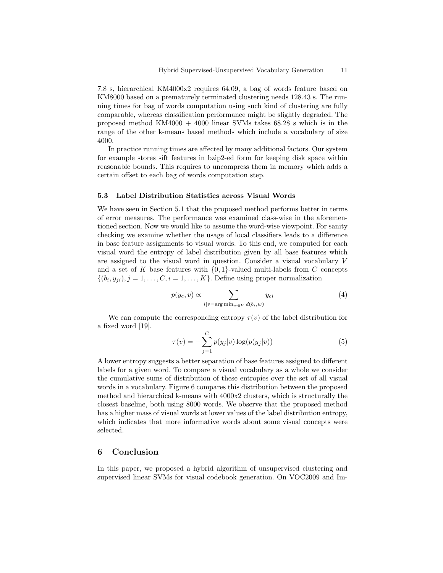7.8 s, hierarchical KM4000x2 requires 64.09, a bag of words feature based on KM8000 based on a prematurely terminated clustering needs 128.43 s. The running times for bag of words computation using such kind of clustering are fully comparable, whereas classification performance might be slightly degraded. The proposed method  $KM4000 + 4000$  linear SVMs takes  $68.28$  s which is in the range of the other k-means based methods which include a vocabulary of size 4000.

In practice running times are affected by many additional factors. Our system for example stores sift features in bzip2-ed form for keeping disk space within reasonable bounds. This requires to uncompress them in memory which adds a certain offset to each bag of words computation step.

#### 5.3 Label Distribution Statistics across Visual Words

We have seen in Section 5.1 that the proposed method performs better in terms of error measures. The performance was examined class-wise in the aforementioned section. Now we would like to assume the word-wise viewpoint. For sanity checking we examine whether the usage of local classifiers leads to a difference in base feature assignments to visual words. To this end, we computed for each visual word the entropy of label distribution given by all base features which are assigned to the visual word in question. Consider a visual vocabulary V and a set of K base features with  $\{0,1\}$ -valued multi-labels from C concepts  $\{(b_i, y_{ji}), j = 1, \ldots, C, i = 1, \ldots, K\}$ . Define using proper normalization

$$
p(y_c, v) \propto \sum_{i|v = \arg\min_{w \in V} d(b_i, w)} y_{ci}
$$
 (4)

We can compute the corresponding entropy  $\tau(v)$  of the label distribution for a fixed word [19].

$$
\tau(v) = -\sum_{j=1}^{C} p(y_j|v) \log(p(y_j|v))
$$
\n(5)

A lower entropy suggests a better separation of base features assigned to different labels for a given word. To compare a visual vocabulary as a whole we consider the cumulative sums of distribution of these entropies over the set of all visual words in a vocabulary. Figure 6 compares this distribution between the proposed method and hierarchical k-means with 4000x2 clusters, which is structurally the closest baseline, both using 8000 words. We observe that the proposed method has a higher mass of visual words at lower values of the label distribution entropy, which indicates that more informative words about some visual concepts were selected.

## 6 Conclusion

In this paper, we proposed a hybrid algorithm of unsupervised clustering and supervised linear SVMs for visual codebook generation. On VOC2009 and Im-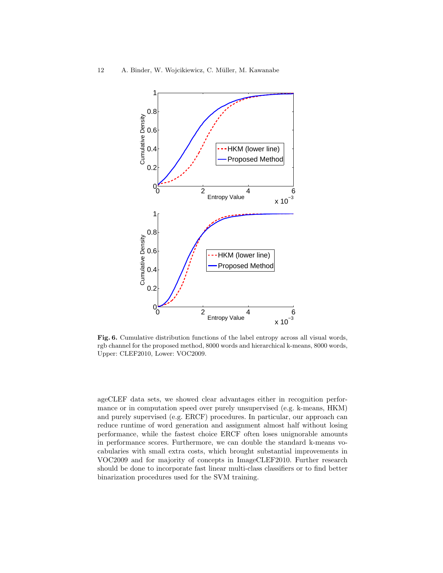

Fig. 6. Cumulative distribution functions of the label entropy across all visual words, rgb channel for the proposed method, 8000 words and hierarchical k-means, 8000 words, Upper: CLEF2010, Lower: VOC2009.

ageCLEF data sets, we showed clear advantages either in recognition performance or in computation speed over purely unsupervised (e.g. k-means, HKM) and purely supervised (e.g. ERCF) procedures. In particular, our approach can reduce runtime of word generation and assignment almost half without losing performance, while the fastest choice ERCF often loses unignorable amounts in performance scores. Furthermore, we can double the standard k-means vocabularies with small extra costs, which brought substantial improvements in VOC2009 and for majority of concepts in ImageCLEF2010. Further research should be done to incorporate fast linear multi-class classifiers or to find better binarization procedures used for the SVM training.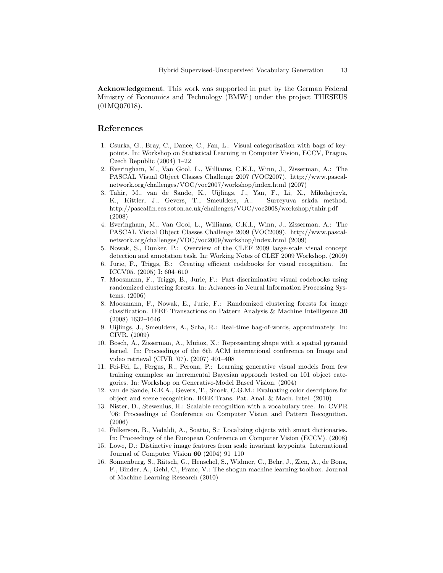Acknowledgement. This work was supported in part by the German Federal Ministry of Economics and Technology (BMWi) under the project THESEUS (01MQ07018).

### References

- 1. Csurka, G., Bray, C., Dance, C., Fan, L.: Visual categorization with bags of keypoints. In: Workshop on Statistical Learning in Computer Vision, ECCV, Prague, Czech Republic (2004) 1–22
- 2. Everingham, M., Van Gool, L., Williams, C.K.I., Winn, J., Zisserman, A.: The PASCAL Visual Object Classes Challenge 2007 (VOC2007). http://www.pascalnetwork.org/challenges/VOC/voc2007/workshop/index.html (2007)
- 3. Tahir, M., van de Sande, K., Uijlings, J., Yan, F., Li, X., Mikolajczyk, K., Kittler, J., Gevers, T., Smeulders, A.: Surreyuva srkda method. http://pascallin.ecs.soton.ac.uk/challenges/VOC/voc2008/workshop/tahir.pdf (2008)
- 4. Everingham, M., Van Gool, L., Williams, C.K.I., Winn, J., Zisserman, A.: The PASCAL Visual Object Classes Challenge 2009 (VOC2009). http://www.pascalnetwork.org/challenges/VOC/voc2009/workshop/index.html (2009)
- 5. Nowak, S., Dunker, P.: Overview of the CLEF 2009 large-scale visual concept detection and annotation task. In: Working Notes of CLEF 2009 Workshop. (2009)
- 6. Jurie, F., Triggs, B.: Creating efficient codebooks for visual recognition. In: ICCV05. (2005) I: 604–610
- 7. Moosmann, F., Triggs, B., Jurie, F.: Fast discriminative visual codebooks using randomized clustering forests. In: Advances in Neural Information Processing Systems. (2006)
- 8. Moosmann, F., Nowak, E., Jurie, F.: Randomized clustering forests for image classification. IEEE Transactions on Pattern Analysis & Machine Intelligence 30 (2008) 1632–1646
- 9. Uijlings, J., Smeulders, A., Scha, R.: Real-time bag-of-words, approximately. In: CIVR. (2009)
- 10. Bosch, A., Zisserman, A., Mu˜noz, X.: Representing shape with a spatial pyramid kernel. In: Proceedings of the 6th ACM international conference on Image and video retrieval (CIVR '07). (2007) 401–408
- 11. Fei-Fei, L., Fergus, R., Perona, P.: Learning generative visual models from few training examples: an incremental Bayesian approach tested on 101 object categories. In: Workshop on Generative-Model Based Vision. (2004)
- 12. van de Sande, K.E.A., Gevers, T., Snoek, C.G.M.: Evaluating color descriptors for object and scene recognition. IEEE Trans. Pat. Anal. & Mach. Intel. (2010)
- 13. Nister, D., Stewenius, H.: Scalable recognition with a vocabulary tree. In: CVPR '06: Proceedings of Conference on Computer Vision and Pattern Recognition. (2006)
- 14. Fulkerson, B., Vedaldi, A., Soatto, S.: Localizing objects with smart dictionaries. In: Proceedings of the European Conference on Computer Vision (ECCV). (2008)
- 15. Lowe, D.: Distinctive image features from scale invariant keypoints. International Journal of Computer Vision 60 (2004) 91–110
- 16. Sonnenburg, S., Rätsch, G., Henschel, S., Widmer, C., Behr, J., Zien, A., de Bona, F., Binder, A., Gehl, C., Franc, V.: The shogun machine learning toolbox. Journal of Machine Learning Research (2010)